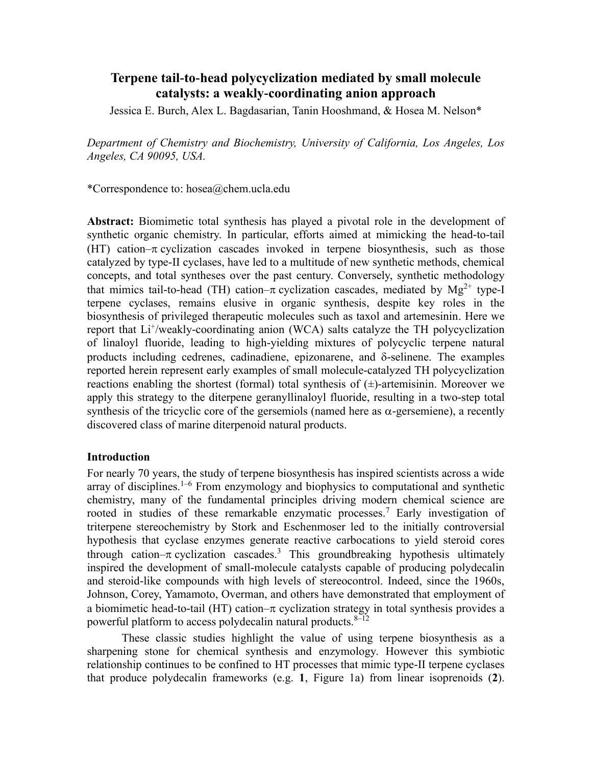# **Terpene tail-to-head polycyclization mediated by small molecule catalysts: a weakly-coordinating anion approach**

Jessica E. Burch, Alex L. Bagdasarian, Tanin Hooshmand, & Hosea M. Nelson\*

*Department of Chemistry and Biochemistry, University of California, Los Angeles, Los Angeles, CA 90095, USA.*

\*Correspondence to: hosea@chem.ucla.edu

**Abstract:** Biomimetic total synthesis has played a pivotal role in the development of synthetic organic chemistry. In particular, efforts aimed at mimicking the head-to-tail  $(HT)$  cation– $\pi$  cyclization cascades invoked in terpene biosynthesis, such as those catalyzed by type-II cyclases, have led to a multitude of new synthetic methods, chemical concepts, and total syntheses over the past century. Conversely, synthetic methodology that mimics tail-to-head (TH) cation– $\pi$  cyclization cascades, mediated by  $Mg^{2+}$  type-I terpene cyclases, remains elusive in organic synthesis, despite key roles in the biosynthesis of privileged therapeutic molecules such as taxol and artemesinin. Here we report that Li<sup>+</sup>/weakly-coordinating anion (WCA) salts catalyze the TH polycyclization of linaloyl fluoride, leading to high-yielding mixtures of polycyclic terpene natural products including cedrenes, cadinadiene, epizonarene, and  $\delta$ -selinene. The examples reported herein represent early examples of small molecule-catalyzed TH polycyclization reactions enabling the shortest (formal) total synthesis of (*±*)-artemisinin. Moreover we apply this strategy to the diterpene geranyllinaloyl fluoride, resulting in a two-step total synthesis of the tricyclic core of the gersemiols (named here as  $\alpha$ -gersemiene), a recently discovered class of marine diterpenoid natural products.

## **Introduction**

For nearly 70 years, the study of terpene biosynthesis has inspired scientists across a wide array of disciplines.<sup>1–6</sup> From enzymology and biophysics to computational and synthetic chemistry, many of the fundamental principles driving modern chemical science are rooted in studies of these remarkable enzymatic processes.<sup>7</sup> Early investigation of triterpene stereochemistry by Stork and Eschenmoser led to the initially controversial hypothesis that cyclase enzymes generate reactive carbocations to yield steroid cores through cation– $\pi$  cyclization cascades.<sup>3</sup> This groundbreaking hypothesis ultimately inspired the development of small-molecule catalysts capable of producing polydecalin and steroid-like compounds with high levels of stereocontrol. Indeed, since the 1960s, Johnson, Corey, Yamamoto, Overman, and others have demonstrated that employment of a biomimetic head-to-tail (HT) cation– $\pi$  cyclization strategy in total synthesis provides a powerful platform to access polydecalin natural products.  $8-12$ 

These classic studies highlight the value of using terpene biosynthesis as a sharpening stone for chemical synthesis and enzymology. However this symbiotic relationship continues to be confined to HT processes that mimic type-II terpene cyclases that produce polydecalin frameworks (e.g. **1**, Figure 1a) from linear isoprenoids (**2**).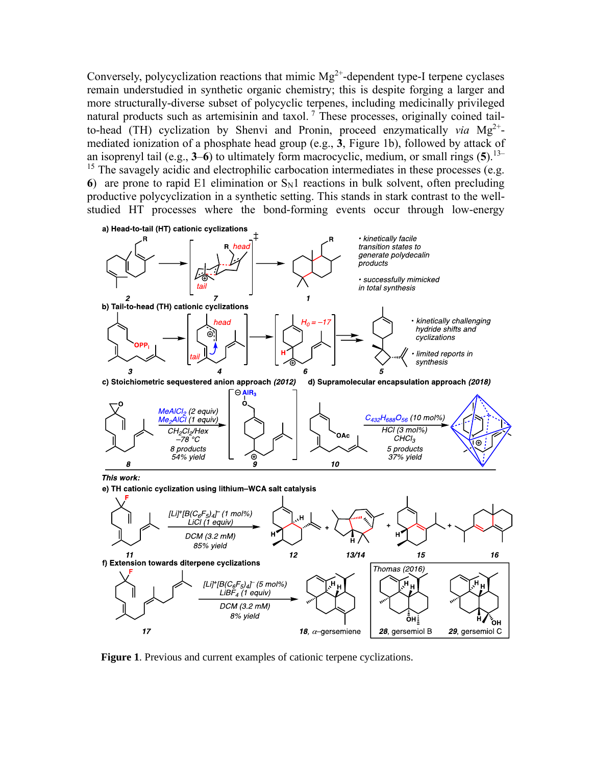Conversely, polycyclization reactions that mimic  $Mg^{2+}$ -dependent type-I terpene cyclases remain understudied in synthetic organic chemistry; this is despite forging a larger and more structurally-diverse subset of polycyclic terpenes, including medicinally privileged natural products such as artemisinin and taxol. <sup>7</sup> These processes, originally coined tailto-head (TH) cyclization by Shenvi and Pronin, proceed enzymatically *via* Mg<sup>2+</sup>mediated ionization of a phosphate head group (e.g., **3**, Figure 1b), followed by attack of an isoprenyl tail (e.g., **3**–**6**) to ultimately form macrocyclic, medium, or small rings (**5**). 13–  $15$  The savagely acidic and electrophilic carbocation intermediates in these processes (e.g. **6**) are prone to rapid E1 elimination or  $S_N1$  reactions in bulk solvent, often precluding productive polycyclization in a synthetic setting. This stands in stark contrast to the wellstudied HT processes where the bond-forming events occur through low-energy



**Figure 1**. Previous and current examples of cationic terpene cyclizations.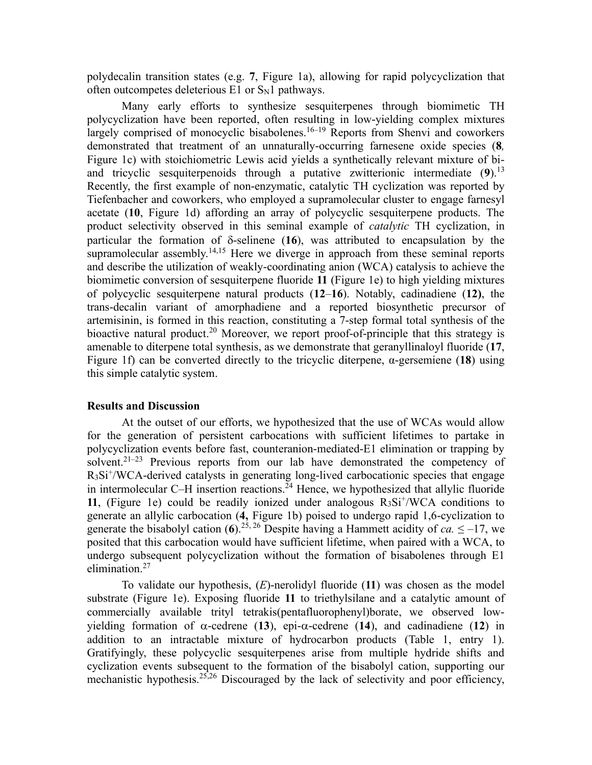polydecalin transition states (e.g. **7**, Figure 1a), allowing for rapid polycyclization that often outcompetes deleterious  $E1$  or  $S_N1$  pathways.

Many early efforts to synthesize sesquiterpenes through biomimetic TH polycyclization have been reported, often resulting in low-yielding complex mixtures largely comprised of monocyclic bisabolenes.<sup>16–19</sup> Reports from Shenvi and coworkers demonstrated that treatment of an unnaturally-occurring farnesene oxide species (**8***,* Figure 1c) with stoichiometric Lewis acid yields a synthetically relevant mixture of biand tricyclic sesquiterpenoids through a putative zwitterionic intermediate (**9**). 13 Recently, the first example of non-enzymatic, catalytic TH cyclization was reported by Tiefenbacher and coworkers, who employed a supramolecular cluster to engage farnesyl acetate (**10**, Figure 1d) affording an array of polycyclic sesquiterpene products. The product selectivity observed in this seminal example of *catalytic* TH cyclization, in particular the formation of  $\delta$ -selinene (16), was attributed to encapsulation by the supramolecular assembly.<sup>14,15</sup> Here we diverge in approach from these seminal reports and describe the utilization of weakly-coordinating anion (WCA) catalysis to achieve the biomimetic conversion of sesquiterpene fluoride **11** (Figure 1e) to high yielding mixtures of polycyclic sesquiterpene natural products (**12**–**16**). Notably, cadinadiene (**12)**, the trans-decalin variant of amorphadiene and a reported biosynthetic precursor of artemisinin, is formed in this reaction, constituting a 7-step formal total synthesis of the bioactive natural product.<sup>20</sup> Moreover, we report proof-of-principle that this strategy is amenable to diterpene total synthesis, as we demonstrate that geranyllinaloyl fluoride (**17**, Figure 1f) can be converted directly to the tricyclic diterpene, α-gersemiene (**18**) using this simple catalytic system.

#### **Results and Discussion**

At the outset of our efforts, we hypothesized that the use of WCAs would allow for the generation of persistent carbocations with sufficient lifetimes to partake in polycyclization events before fast, counteranion-mediated-E1 elimination or trapping by solvent.<sup>21–23</sup> Previous reports from our lab have demonstrated the competency of R<sub>3</sub>Si<sup>+</sup>/WCA-derived catalysts in generating long-lived carbocationic species that engage in intermolecular C–H insertion reactions.<sup>24</sup> Hence, we hypothesized that allylic fluoride 11, (Figure 1e) could be readily ionized under analogous R<sub>3</sub>Si<sup>+</sup>/WCA conditions to generate an allylic carbocation (**4,** Figure 1b) poised to undergo rapid 1,6-cyclization to generate the bisabolyl cation  $(6)$ .<sup>25, 26</sup> Despite having a Hammett acidity of *ca.*  $\leq -17$ , we posited that this carbocation would have sufficient lifetime, when paired with a WCA, to undergo subsequent polycyclization without the formation of bisabolenes through E1 elimination. $27$ 

To validate our hypothesis, (*E*)-nerolidyl fluoride (**11**) was chosen as the model substrate (Figure 1e). Exposing fluoride **11** to triethylsilane and a catalytic amount of commercially available trityl tetrakis(pentafluorophenyl)borate, we observed lowyielding formation of  $\alpha$ -cedrene (13), epi- $\alpha$ -cedrene (14), and cadinadiene (12) in addition to an intractable mixture of hydrocarbon products (Table 1, entry 1). Gratifyingly, these polycyclic sesquiterpenes arise from multiple hydride shifts and cyclization events subsequent to the formation of the bisabolyl cation, supporting our mechanistic hypothesis.<sup>25,26</sup> Discouraged by the lack of selectivity and poor efficiency,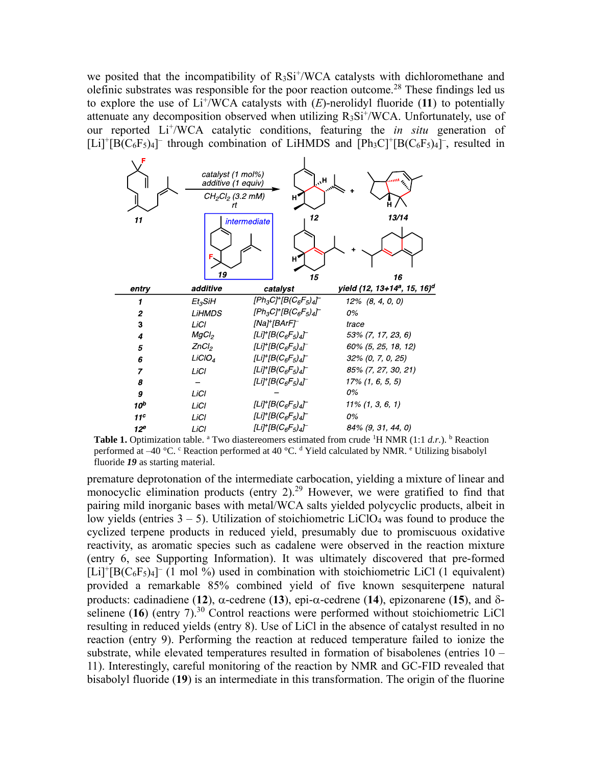we posited that the incompatibility of R<sub>3</sub>Si<sup>+</sup>/WCA catalysts with dichloromethane and olefinic substrates was responsible for the poor reaction outcome.<sup>28</sup> These findings led us to explore the use of  $Li^{+}/WCA$  catalysts with  $(E)$ -nerolidyl fluoride (11) to potentially attenuate any decomposition observed when utilizing  $R_3Si^{+}/WCA$ . Unfortunately, use of our reported Li<sup>+</sup>/WCA catalytic conditions, featuring the *in situ* generation of [Li]<sup>+</sup>[B(C<sub>6</sub>F<sub>5</sub>)<sub>4</sub>]<sup>-</sup> through combination of LiHMDS and [Ph<sub>3</sub>C]<sup>+</sup>[B(C<sub>6</sub>F<sub>5</sub>)<sub>4</sub>]<sup>-</sup>, resulted in



**Table 1.** Optimization table. <sup>a</sup> Two diastereomers estimated from crude <sup>1</sup>H NMR (1:1 *d.r.*). <sup>b</sup> Reaction performed at  $-40$  °C. <sup>c</sup> Reaction performed at 40 °C. <sup>d</sup> Yield calculated by NMR. <sup>e</sup> Utilizing bisabolyl fluoride *19* as starting material.

premature deprotonation of the intermediate carbocation, yielding a mixture of linear and monocyclic elimination products (entry 2).<sup>29</sup> However, we were gratified to find that pairing mild inorganic bases with metal/WCA salts yielded polycyclic products, albeit in low yields (entries  $3 - 5$ ). Utilization of stoichiometric LiClO<sub>4</sub> was found to produce the cyclized terpene products in reduced yield, presumably due to promiscuous oxidative reactivity, as aromatic species such as cadalene were observed in the reaction mixture (entry 6, see Supporting Information). It was ultimately discovered that pre-formed  $[Li]^+$ [B $(C_6F_5)$ 4]<sup>-</sup> (1 mol %) used in combination with stoichiometric LiCl (1 equivalent) provided a remarkable 85% combined yield of five known sesquiterpene natural products: cadinadiene (12),  $\alpha$ -cedrene (13), epi- $\alpha$ -cedrene (14), epizonarene (15), and  $\delta$ selinene (16) (entry 7).<sup>30</sup> Control reactions were performed without stoichiometric LiCl resulting in reduced yields (entry 8). Use of LiCl in the absence of catalyst resulted in no reaction (entry 9). Performing the reaction at reduced temperature failed to ionize the substrate, while elevated temperatures resulted in formation of bisabolenes (entries 10 – 11). Interestingly, careful monitoring of the reaction by NMR and GC-FID revealed that bisabolyl fluoride (**19**) is an intermediate in this transformation. The origin of the fluorine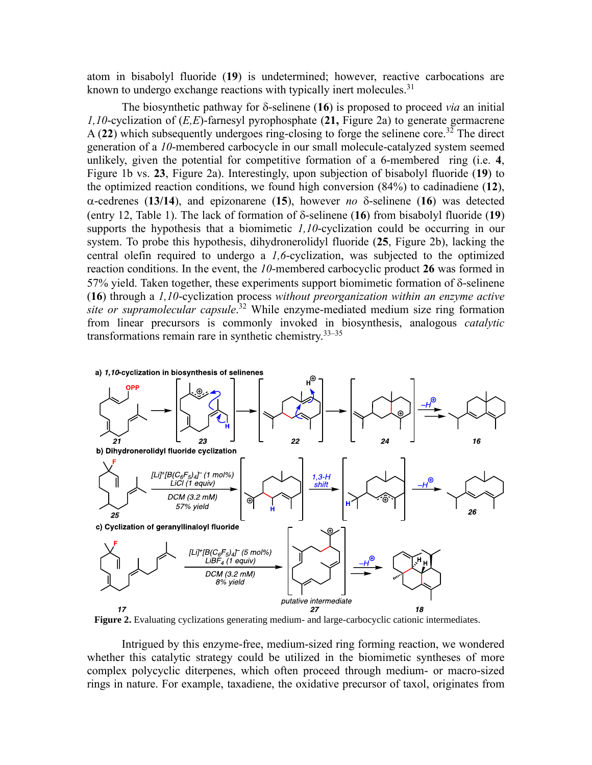atom in bisabolyl fluoride (**19**) is undetermined; however, reactive carbocations are known to undergo exchange reactions with typically inert molecules.<sup>31</sup>

The biosynthetic pathway for  $\delta$ -selinene (16) is proposed to proceed *via* an initial *1,10*-cyclization of (*E,E*)-farnesyl pyrophosphate (**21,** Figure 2a) to generate germacrene A (**22**) which subsequently undergoes ring-closing to forge the selinene core.<sup>32</sup> The direct generation of a *10*-membered carbocycle in our small molecule-catalyzed system seemed unlikely, given the potential for competitive formation of a 6-membered ring (i.e. **4**, Figure 1b vs. **23**, Figure 2a). Interestingly, upon subjection of bisabolyl fluoride (**19**) to the optimized reaction conditions, we found high conversion (84%) to cadinadiene (**12**),  $\alpha$ -cedrenes (13/14), and epizonarene (15), however *no*  $\delta$ -selinene (16) was detected (entry 12, Table 1). The lack of formation of  $\delta$ -selinene (16) from bisabolyl fluoride (19) supports the hypothesis that a biomimetic *1,10*-cyclization could be occurring in our system. To probe this hypothesis, dihydronerolidyl fluoride (**25**, Figure 2b), lacking the central olefin required to undergo a *1,6*-cyclization, was subjected to the optimized reaction conditions. In the event, the *10*-membered carbocyclic product **26** was formed in  $57\%$  yield. Taken together, these experiments support biomimetic formation of  $\delta$ -selinene (**16**) through a *1,10*-cyclization process *without preorganization within an enzyme active site or supramolecular capsule*. <sup>32</sup> While enzyme-mediated medium size ring formation from linear precursors is commonly invoked in biosynthesis, analogous *catalytic* transformations remain rare in synthetic chemistry.  $33-35$ 



**Figure 2.** Evaluating cyclizations generating medium- and large-carbocyclic cationic intermediates.

Intrigued by this enzyme-free, medium-sized ring forming reaction, we wondered whether this catalytic strategy could be utilized in the biomimetic syntheses of more complex polycyclic diterpenes, which often proceed through medium- or macro-sized rings in nature. For example, taxadiene, the oxidative precursor of taxol, originates from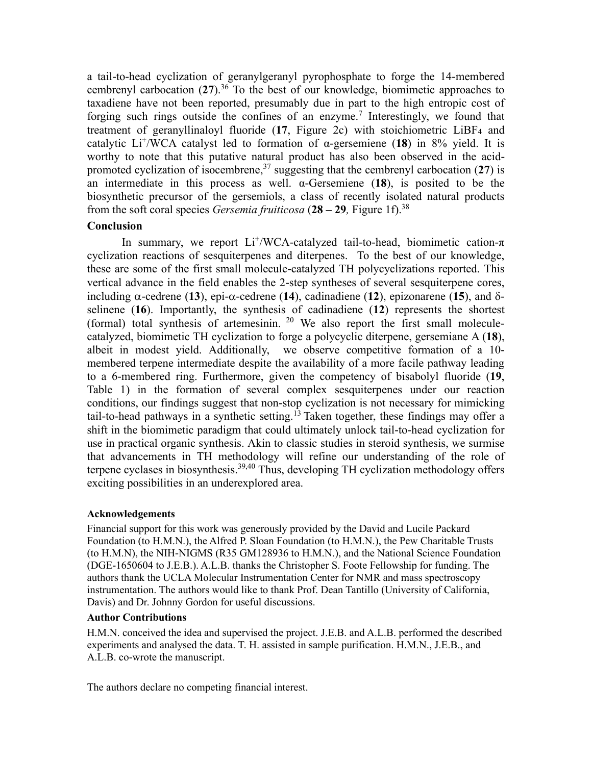a tail-to-head cyclization of geranylgeranyl pyrophosphate to forge the 14-membered cembrenyl carbocation (**27**).<sup>36</sup> To the best of our knowledge, biomimetic approaches to taxadiene have not been reported, presumably due in part to the high entropic cost of forging such rings outside the confines of an enzyme.<sup>7</sup> Interestingly, we found that treatment of geranyllinaloyl fluoride (**17**, Figure 2c) with stoichiometric LiBF<sup>4</sup> and catalytic Li<sup>+</sup> /WCA catalyst led to formation of α-gersemiene (**18**) in 8% yield. It is worthy to note that this putative natural product has also been observed in the acidpromoted cyclization of isocembrene, <sup>37</sup> suggesting that the cembrenyl carbocation (**27**) is an intermediate in this process as well. α-Gersemiene (**18**), is posited to be the biosynthetic precursor of the gersemiols, a class of recently isolated natural products from the soft coral species *Gersemia fruiticosa* (**28** *–* **29***,* Figure 1f).<sup>38</sup>

## **Conclusion**

In summary, we report  $Li^{+}/WCA$ -catalyzed tail-to-head, biomimetic cation- $\pi$ cyclization reactions of sesquiterpenes and diterpenes. To the best of our knowledge, these are some of the first small molecule-catalyzed TH polycyclizations reported. This vertical advance in the field enables the 2-step syntheses of several sesquiterpene cores, including  $\alpha$ -cedrene (13), epi- $\alpha$ -cedrene (14), cadinadiene (12), epizonarene (15), and  $\delta$ selinene (**16**). Importantly, the synthesis of cadinadiene (**12**) represents the shortest (formal) total synthesis of artemesinin.  $20$  We also report the first small moleculecatalyzed, biomimetic TH cyclization to forge a polycyclic diterpene, gersemiane A (**18**), albeit in modest yield. Additionally, we observe competitive formation of a 10 membered terpene intermediate despite the availability of a more facile pathway leading to a 6-membered ring. Furthermore, given the competency of bisabolyl fluoride (**19**, Table 1) in the formation of several complex sesquiterpenes under our reaction conditions, our findings suggest that non-stop cyclization is not necessary for mimicking tail-to-head pathways in a synthetic setting.<sup>13</sup> Taken together, these findings may offer a shift in the biomimetic paradigm that could ultimately unlock tail-to-head cyclization for use in practical organic synthesis. Akin to classic studies in steroid synthesis, we surmise that advancements in TH methodology will refine our understanding of the role of terpene cyclases in biosynthesis.<sup>39,40</sup> Thus, developing TH cyclization methodology offers exciting possibilities in an underexplored area.

## **Acknowledgements**

Financial support for this work was generously provided by the David and Lucile Packard Foundation (to H.M.N.), the Alfred P. Sloan Foundation (to H.M.N.), the Pew Charitable Trusts (to H.M.N), the NIH-NIGMS (R35 GM128936 to H.M.N.), and the National Science Foundation (DGE-1650604 to J.E.B.). A.L.B. thanks the Christopher S. Foote Fellowship for funding. The authors thank the UCLA Molecular Instrumentation Center for NMR and mass spectroscopy instrumentation. The authors would like to thank Prof. Dean Tantillo (University of California, Davis) and Dr. Johnny Gordon for useful discussions.

#### **Author Contributions**

H.M.N. conceived the idea and supervised the project. J.E.B. and A.L.B. performed the described experiments and analysed the data. T. H. assisted in sample purification. H.M.N., J.E.B., and A.L.B. co-wrote the manuscript.

The authors declare no competing financial interest.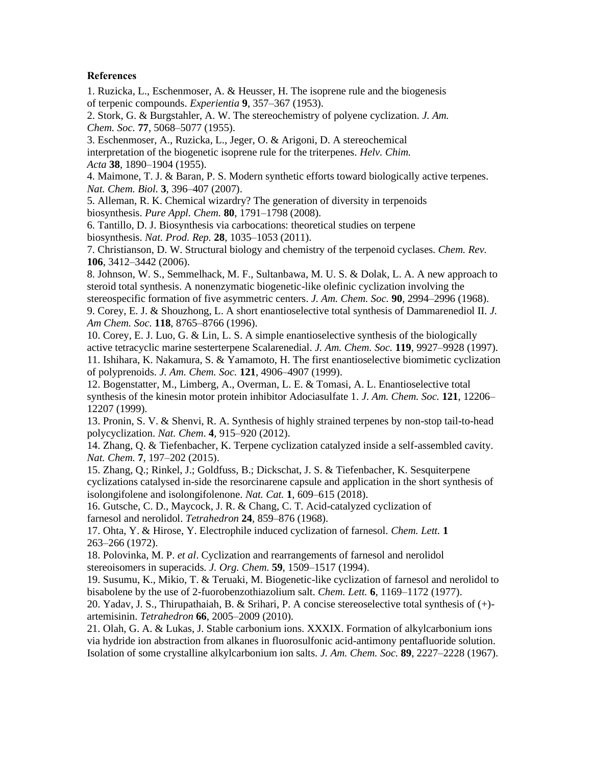### **References**

1. Ruzicka, L., Eschenmoser, A. & Heusser, H. The isoprene rule and the biogenesis of terpenic compounds. *Experientia* **9**, 357–367 (1953).

2. Stork, G. & Burgstahler, A. W. The stereochemistry of polyene cyclization. *J. Am. Chem. Soc.* **77**, 5068–5077 (1955).

3. Eschenmoser, A., Ruzicka, L., Jeger, O. & Arigoni, D. A stereochemical interpretation of the biogenetic isoprene rule for the triterpenes. *Helv. Chim.*

*Acta* **38**, 1890–1904 (1955).

4. Maimone, T. J. & Baran, P. S. Modern synthetic efforts toward biologically active terpenes. *Nat. Chem. Biol.* **3**, 396–407 (2007).

5. Alleman, R. K. Chemical wizardry? The generation of diversity in terpenoids biosynthesis. *Pure Appl. Chem.* **80**, 1791–1798 (2008).

6. Tantillo, D. J. Biosynthesis via carbocations: theoretical studies on terpene biosynthesis. *Nat. Prod. Rep.* **28**, 1035–1053 (2011).

7. Christianson, D. W. Structural biology and chemistry of the terpenoid cyclases. *Chem. Rev.* **106**, 3412–3442 (2006).

8. Johnson, W. S., Semmelhack, M. F., Sultanbawa, M. U. S. & Dolak, L. A. A new approach to steroid total synthesis. A nonenzymatic biogenetic-like olefinic cyclization involving the stereospecific formation of five asymmetric centers. *J. Am. Chem. Soc.* **90**, 2994–2996 (1968).

9. Corey, E. J. & Shouzhong, L. A short enantioselective total synthesis of Dammarenediol II. *J. Am Chem. Soc.* **118**, 8765–8766 (1996).

10. Corey, E. J. Luo, G. & Lin, L. S. A simple enantioselective synthesis of the biologically active tetracyclic marine sesterterpene Scalarenedial. *J. Am. Chem. Soc.* **119**, 9927–9928 (1997). 11. Ishihara, K. Nakamura, S. & Yamamoto, H. The first enantioselective biomimetic cyclization of polyprenoids. *J. Am. Chem. Soc.* **121**, 4906–4907 (1999).

12. Bogenstatter, M., Limberg, A., Overman, L. E. & Tomasi, A. L. Enantioselective total synthesis of the kinesin motor protein inhibitor Adociasulfate 1. *J. Am. Chem. Soc.* **121**, 12206– 12207 (1999).

13. Pronin, S. V. & Shenvi, R. A. Synthesis of highly strained terpenes by non-stop tail-to-head polycyclization. *Nat. Chem*. **4**, 915–920 (2012).

14. Zhang, Q. & Tiefenbacher, K. Terpene cyclization catalyzed inside a self-assembled cavity. *Nat. Chem.* **7**, 197–202 (2015).

15. Zhang, Q.; Rinkel, J.; Goldfuss, B.; Dickschat, J. S. & Tiefenbacher, K. Sesquiterpene cyclizations catalysed in-side the resorcinarene capsule and application in the short synthesis of isolongifolene and isolongifolenone. *Nat. Cat.* **1**, 609–615 (2018).

16. Gutsche, C. D., Maycock, J. R. & Chang, C. T. Acid-catalyzed cyclization of farnesol and nerolidol. *Tetrahedron* **24**, 859–876 (1968).

17. Ohta, Y. & Hirose, Y. Electrophile induced cyclization of farnesol. *Chem. Lett.* **1** 263–266 (1972).

18. Polovinka, M. P. *et al*. Cyclization and rearrangements of farnesol and nerolidol stereoisomers in superacids. *J. Org. Chem.* **59**, 1509–1517 (1994).

19. Susumu, K., Mikio, T. & Teruaki, M. Biogenetic-like cyclization of farnesol and nerolidol to bisabolene by the use of 2-fuorobenzothiazolium salt. *Chem. Lett.* **6**, 1169–1172 (1977).

20. Yadav, J. S., Thirupathaiah, B. & Srihari, P. A concise stereoselective total synthesis of (+) artemisinin. *Tetrahedron* **66**, 2005–2009 (2010).

21. Olah, G. A. & Lukas, J. Stable carbonium ions. XXXIX. Formation of alkylcarbonium ions via hydride ion abstraction from alkanes in fluorosulfonic acid-antimony pentafluoride solution. Isolation of some crystalline alkylcarbonium ion salts. *J. Am. Chem. Soc.* **89**, 2227–2228 (1967).